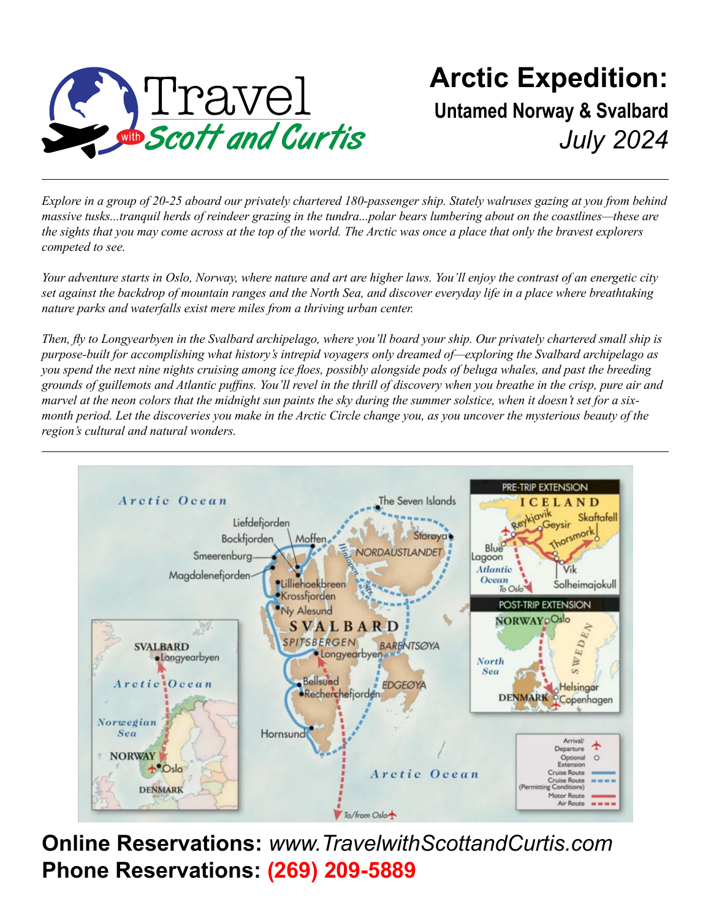

### **Arctic Expedition: Untamed Norway & Svalbard** *July 2024*

*Explore in a group of 20-25 aboard our privately chartered 180-passenger ship. Stately walruses gazing at you from behind massive tusks...tranquil herds of reindeer grazing in the tundra...polar bears lumbering about on the coastlines—these are the sights that you may come across at the top of the world. The Arctic was once a place that only the bravest explorers competed to see.*

*Your adventure starts in Oslo, Norway, where nature and art are higher laws. You'll enjoy the contrast of an energetic city set against the backdrop of mountain ranges and the North Sea, and discover everyday life in a place where breathtaking nature parks and waterfalls exist mere miles from a thriving urban center.* 

*Then, fly to Longyearbyen in the Svalbard archipelago, where you'll board your ship. Our privately chartered small ship is purpose-built for accomplishing what history's intrepid voyagers only dreamed of—exploring the Svalbard archipelago as you spend the next nine nights cruising among ice floes, possibly alongside pods of beluga whales, and past the breeding grounds of guillemots and Atlantic puffins. You'll revel in the thrill of discovery when you breathe in the crisp, pure air and marvel at the neon colors that the midnight sun paints the sky during the summer solstice, when it doesn't set for a sixmonth period. Let the discoveries you make in the Arctic Circle change you, as you uncover the mysterious beauty of the region's cultural and natural wonders.*



**Online Reservations:** *www.TravelwithScottandCurtis.com* **Phone Reservations: (269) 209-5889**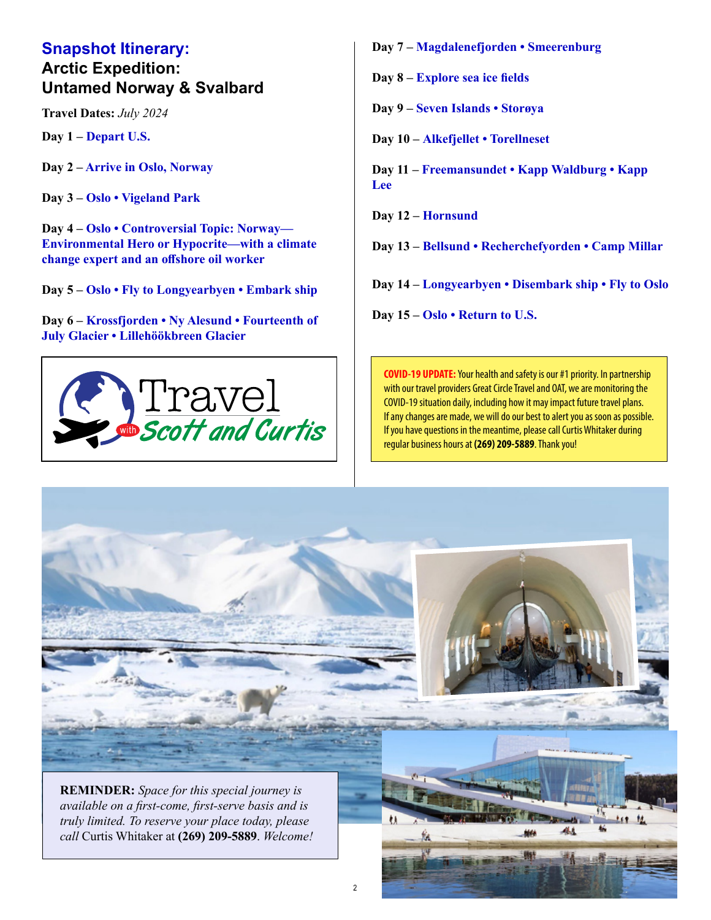#### **Snapshot Itinerary: Arctic Expedition: Untamed Norway & Svalbard**

**Travel Dates:** *July 2024*

**Day 1 – Depart U.S.**

**Day 2 – Arrive in Oslo, Norway**

**Day 3 – Oslo • Vigeland Park**

**Day 4 – Oslo • Controversial Topic: Norway— Environmental Hero or Hypocrite—with a climate change expert and an offshore oil worker**

**Day 5 – Oslo • Fly to Longyearbyen • Embark ship**

**Day 6 – Krossfjorden • Ny Alesund • Fourteenth of July Glacier • Lillehöökbreen Glacier**



**Day 7 – Magdalenefjorden • Smeerenburg**

**Day 8 – Explore sea ice fields**

**Day 9 – Seven Islands • Storøya**

**Day 10 – Alkefjellet • Torellneset**

**Day 11 – Freemansundet • Kapp Waldburg • Kapp Lee**

**Day 12 – Hornsund**

**Day 13 – Bellsund • Recherchefyorden • Camp Millar**

**Day 14 – Longyearbyen • Disembark ship • Fly to Oslo**

**Day 15 – Oslo • Return to U.S.**

**COVID-19 UPDATE:** Your health and safety is our #1 priority. In partnership with our travel providers Great Circle Travel and OAT, we are monitoring the COVID-19 situation daily, including how it may impact future travel plans. If any changes are made, we will do our best to alert you as soon as possible. If you have questions in the meantime, please call Curtis Whitaker during regular business hours at **(269) 209-5889**. Thank you!